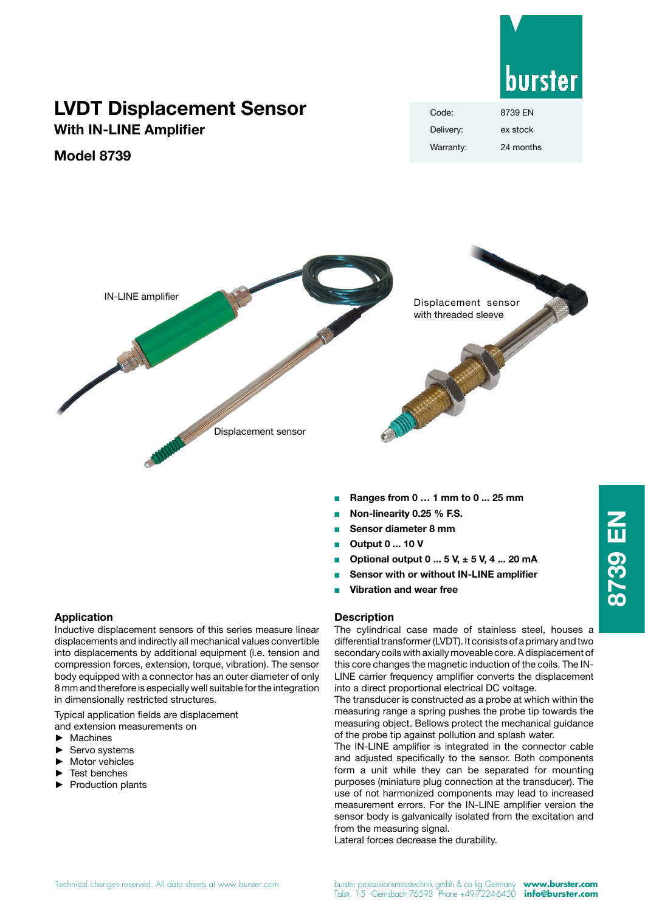

# **LVDT Displacement Sensor**

**With IN-LINE Amplifier**

## **Model 8739**

| Code:     | 8739 FN   |
|-----------|-----------|
| Delivery: | ex stock  |
| Warranty: | 24 months |



- <sup>Q</sup> **Ranges from 0 … 1 mm to 0 ... 25 mm**
- <sup>Q</sup> **Non-linearity 0.25 % F.S.**
- <sup>Q</sup> **Sensor diameter 8 mm**
- <sup>Q</sup> **Output 0 ... 10 V**
- <sup>n</sup> **Optional output 0 ... 5 V, ± 5 V, 4 ... 20 mA**
- **Sensor with or without IN-LINE amplifier**
- **Vibration and wear free**

#### **Description**

The cylindrical case made of stainless steel, houses a differential transformer (LVDT). It consists of a primary and two secondary coils with axially moveable core. A displacement of this core changes the magnetic induction of the coils. The IN-LINE carrier frequency amplifier converts the displacement into a direct proportional electrical DC voltage.

The transducer is constructed as a probe at which within the measuring range a spring pushes the probe tip towards the measuring object. Bellows protect the mechanical guidance of the probe tip against pollution and splash water.

The IN-LINE amplifier is integrated in the connector cable and adjusted specifically to the sensor. Both components form a unit while they can be separated for mounting purposes (miniature plug connection at the transducer). The use of not harmonized components may lead to increased measurement errors. For the IN-LINE amplifier version the sensor body is galvanically isolated from the excitation and from the measuring signal.

Lateral forces decrease the durability.

#### **Application**

Inductive displacement sensors of this series measure linear displacements and indirectly all mechanical values convertible into displacements by additional equipment (i.e. tension and compression forces, extension, torque, vibration). The sensor body equipped with a connector has an outer diameter of only 8 mm and therefore is especially well suitable for the integration in dimensionally restricted structures.

Typical application fields are displacement and extension measurements on

- ► Machines
- Servo systems
- Motor vehicles
- Test benches
- ► Production plants